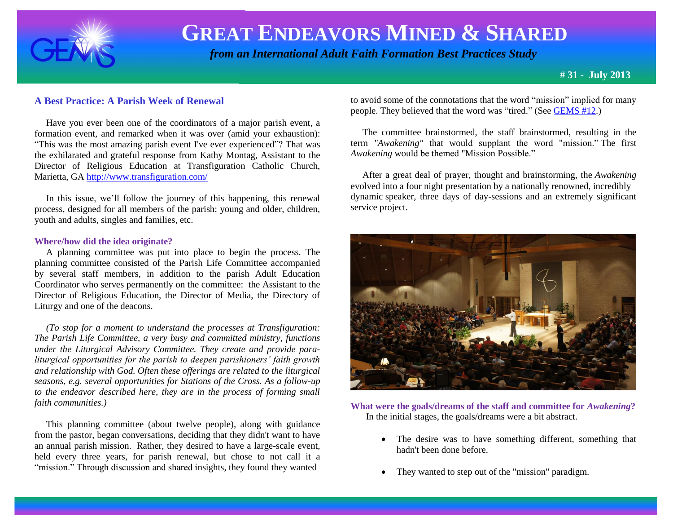

 *from an International Adult Faith Formation Best Practices Study*

**# 31 - July 2013**

### **A Best Practice: A Parish Week of Renewal**

 Have you ever been one of the coordinators of a major parish event, a formation event, and remarked when it was over (amid your exhaustion): "This was the most amazing parish event I've ever experienced"? That was the exhilarated and grateful response from Kathy Montag, Assistant to the Director of Religious Education at Transfiguration Catholic Church, Marietta, GA<http://www.transfiguration.com/>

 In this issue, we'll follow the journey of this happening, this renewal process, designed for all members of the parish: young and older, children, youth and adults, singles and families, etc.

#### **Where/how did the idea originate?**

 A planning committee was put into place to begin the process. The planning committee consisted of the Parish Life Committee accompanied by several staff members, in addition to the parish Adult Education Coordinator who serves permanently on the committee: the Assistant to the Director of Religious Education, the Director of Media, the Directory of Liturgy and one of the deacons.

 *(To stop for a moment to understand the processes at Transfiguration: The Parish Life Committee, a very busy and committed ministry, functions under the Liturgical Advisory Committee. They create and provide paraliturgical opportunities for the parish to deepen parishioners' faith growth and relationship with God. Often these offerings are related to the liturgical seasons, e.g. several opportunities for Stations of the Cross. As a follow-up to the endeavor described here, they are in the process of forming small faith communities.)*

 This planning committee (about twelve people), along with guidance from the pastor, began conversations, deciding that they didn't want to have an annual parish mission. Rather, they desired to have a large-scale event, held every three years, for parish renewal, but chose to not call it a "mission." Through discussion and shared insights, they found they wanted

to avoid some of the connotations that the word "mission" implied for many people. They believed that the word was "tired." (See [GEMS #12.](http://www.janetschaeffler.com/Gems__12.pdf))

 The committee brainstormed, the staff brainstormed, resulting in the term *"Awakening"* that would supplant the word "mission." The first *Awakening* would be themed "Mission Possible."

 After a great deal of prayer, thought and brainstorming, the *Awakening*  evolved into a four night presentation by a nationally renowned, incredibly dynamic speaker, three days of day-sessions and an extremely significant service project.



**What were the goals/dreams of the staff and committee for** *Awakening***?** In the initial stages, the goals/dreams were a bit abstract.

- The desire was to have something different, something that hadn't been done before.
- They wanted to step out of the "mission" paradigm.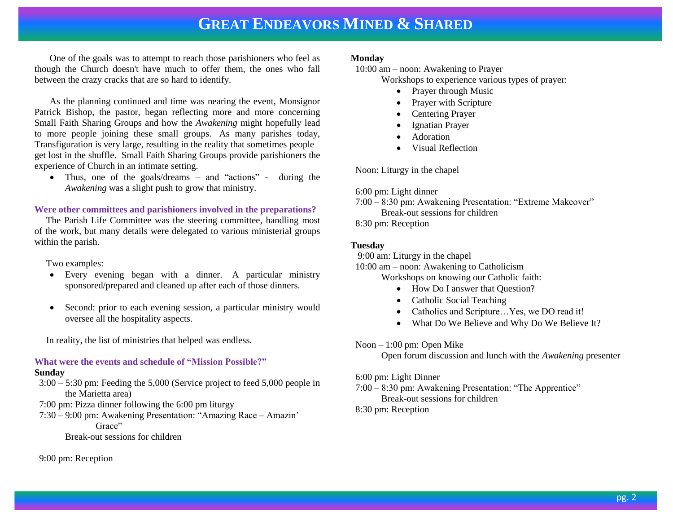One of the goals was to attempt to reach those parishioners who feel as though the Church doesn't have much to offer them, the ones who fall between the crazy cracks that are so hard to identify.

As the planning continued and time was nearing the event, Monsignor Patrick Bishop, the pastor, began reflecting more and more concerning Small Faith Sharing Groups and how the *Awakening* might hopefully lead to more people joining these small groups. As many parishes today, Transfiguration is very large, resulting in the reality that sometimes people get lost in the shuffle. Small Faith Sharing Groups provide parishioners the experience of Church in an intimate setting.

• Thus, one of the goals/dreams – and "actions" - during the *Awakening* was a slight push to grow that ministry.

### **Were other committees and parishioners involved in the preparations?**

 The Parish Life Committee was the steering committee, handling most of the work, but many details were delegated to various ministerial groups within the parish.

Two examples:

- Every evening began with a dinner. A particular ministry sponsored/prepared and cleaned up after each of those dinners.
- Second: prior to each evening session, a particular ministry would oversee all the hospitality aspects.

In reality, the list of ministries that helped was endless.

### **What were the events and schedule of "Mission Possible?"**

#### **Sunday**

 3:00 – 5:30 pm: Feeding the 5,000 (Service project to feed 5,000 people in the Marietta area)

- 7:00 pm: Pizza dinner following the 6:00 pm liturgy
- 7:30 9:00 pm: Awakening Presentation: "Amazing Race Amazin' Grace"

Break-out sessions for children

9:00 pm: Reception

### **Monday**

10:00 am – noon: Awakening to Prayer

Workshops to experience various types of prayer:

- Prayer through Music
- Prayer with Scripture
- Centering Prayer
- Ignatian Prayer
- Adoration
- Visual Reflection

Noon: Liturgy in the chapel

- 6:00 pm: Light dinner
- 7:00 8:30 pm: Awakening Presentation: "Extreme Makeover" Break-out sessions for children

8:30 pm: Reception

### **Tuesday**

9:00 am: Liturgy in the chapel

10:00 am – noon: Awakening to Catholicism

Workshops on knowing our Catholic faith:

- How Do I answer that Question?
- Catholic Social Teaching
- Catholics and Scripture...Yes, we DO read it!
- What Do We Believe and Why Do We Believe It?

Noon – 1:00 pm: Open Mike

Open forum discussion and lunch with the *Awakening* presenter

6:00 pm: Light Dinner

7:00 – 8:30 pm: Awakening Presentation: "The Apprentice"

Break-out sessions for children

8:30 pm: Reception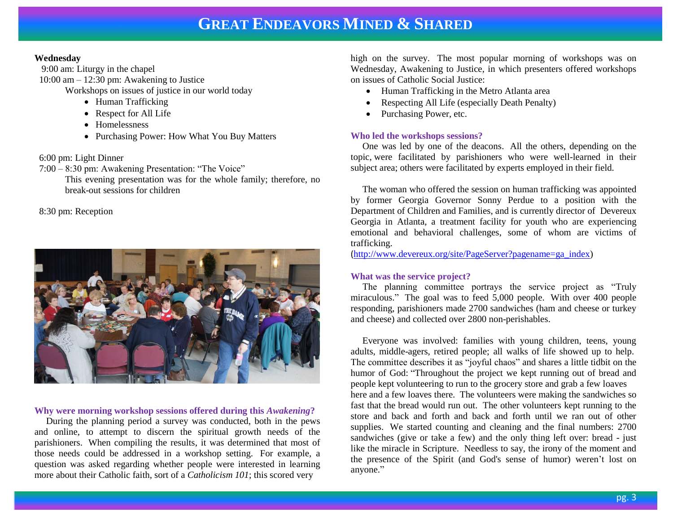### **Wednesday**

9:00 am: Liturgy in the chapel 10:00 am – 12:30 pm: Awakening to Justice Workshops on issues of justice in our world today

- Human Trafficking
- Respect for All Life
- Homelessness
- Purchasing Power: How What You Buy Matters

### 6:00 pm: Light Dinner

7:00 – 8:30 pm: Awakening Presentation: "The Voice"

This evening presentation was for the whole family; therefore, no break-out sessions for children

8:30 pm: Reception



### **Why were morning workshop sessions offered during this** *Awakening***?**

 During the planning period a survey was conducted, both in the pews and online, to attempt to discern the spiritual growth needs of the parishioners. When compiling the results, it was determined that most of those needs could be addressed in a workshop setting. For example, a question was asked regarding whether people were interested in learning more about their Catholic faith, sort of a *Catholicism 101*; this scored very

high on the survey. The most popular morning of workshops was on Wednesday, Awakening to Justice, in which presenters offered workshops on issues of Catholic Social Justice:

- Human Trafficking in the Metro Atlanta area
- Respecting All Life (especially Death Penalty)
- Purchasing Power, etc.

### **Who led the workshops sessions?**

 One was led by one of the deacons. All the others, depending on the topic, were facilitated by parishioners who were well-learned in their subject area; others were facilitated by experts employed in their field.

 The woman who offered the session on human trafficking was appointed by former Georgia Governor Sonny Perdue to a position with the Department of Children and Families, and is currently director of Devereux Georgia in Atlanta, a treatment facility for youth who are experiencing emotional and behavioral challenges, some of whom are victims of trafficking.

([http://www.devereux.org/site/PageServer?pagename=ga\\_index\)](http://www.devereux.org/site/PageServer?pagename=ga_index)

### **What was the service project?**

 The planning committee portrays the service project as "Truly miraculous." The goal was to feed 5,000 people. With over 400 people responding, parishioners made 2700 sandwiches (ham and cheese or turkey and cheese) and collected over 2800 non-perishables.

 Everyone was involved: families with young children, teens, young adults, middle-agers, retired people; all walks of life showed up to help. The committee describes it as "joyful chaos" and shares a little tidbit on the humor of God: "Throughout the project we kept running out of bread and people kept volunteering to run to the grocery store and grab a few loaves here and a few loaves there. The volunteers were making the sandwiches so fast that the bread would run out. The other volunteers kept running to the store and back and forth and back and forth until we ran out of other supplies. We started counting and cleaning and the final numbers: 2700 sandwiches (give or take a few) and the only thing left over: bread - just like the miracle in Scripture. Needless to say, the irony of the moment and the presence of the Spirit (and God's sense of humor) weren't lost on anyone."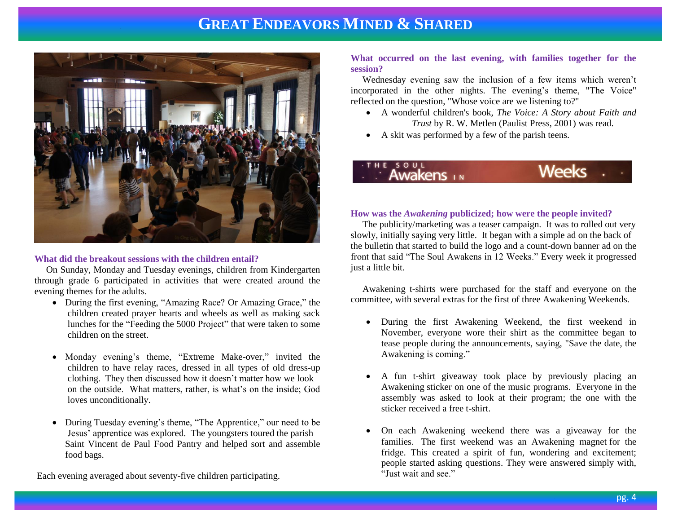

### **What did the breakout sessions with the children entail?**

 On Sunday, Monday and Tuesday evenings, children from Kindergarten through grade 6 participated in activities that were created around the evening themes for the adults.

- During the first evening, "Amazing Race? Or Amazing Grace," the children created prayer hearts and wheels as well as making sack lunches for the "Feeding the 5000 Project" that were taken to some children on the street.
- Monday evening's theme, "Extreme Make-over," invited the children to have relay races, dressed in all types of old dress-up clothing. They then discussed how it doesn't matter how we look on the outside. What matters, rather, is what's on the inside; God loves unconditionally.
- During Tuesday evening's theme, "The Apprentice," our need to be Jesus' apprentice was explored. The youngsters toured the parish Saint Vincent de Paul Food Pantry and helped sort and assemble food bags.

Each evening averaged about seventy-five children participating.

### **What occurred on the last evening, with families together for the session?**

 Wednesday evening saw the inclusion of a few items which weren't incorporated in the other nights. The evening's theme, "The Voice" reflected on the question, "Whose voice are we listening to?"

- A wonderful children's book, *The Voice: A Story about Faith and Trust* by R. W. Metlen (Paulist Press, 2001) was read.
- A skit was performed by a few of the parish teens.

### **Weeks** Awakens

#### **How was the** *Awakening* **publicized; how were the people invited?**

 The publicity/marketing was a teaser campaign. It was to rolled out very slowly, initially saying very little. It began with a simple ad on the back of the bulletin that started to build the logo and a count-down banner ad on the front that said "The Soul Awakens in 12 Weeks." Every week it progressed just a little bit.

 Awakening t-shirts were purchased for the staff and everyone on the committee, with several extras for the first of three Awakening Weekends.

- During the first Awakening Weekend, the first weekend in November, everyone wore their shirt as the committee began to tease people during the announcements, saying, "Save the date, the Awakening is coming."
- A fun t-shirt giveaway took place by previously placing an Awakening sticker on one of the music programs. Everyone in the assembly was asked to look at their program; the one with the sticker received a free t-shirt.
- On each Awakening weekend there was a giveaway for the families. The first weekend was an Awakening magnet for the fridge. This created a spirit of fun, wondering and excitement; people started asking questions. They were answered simply with, "Just wait and see."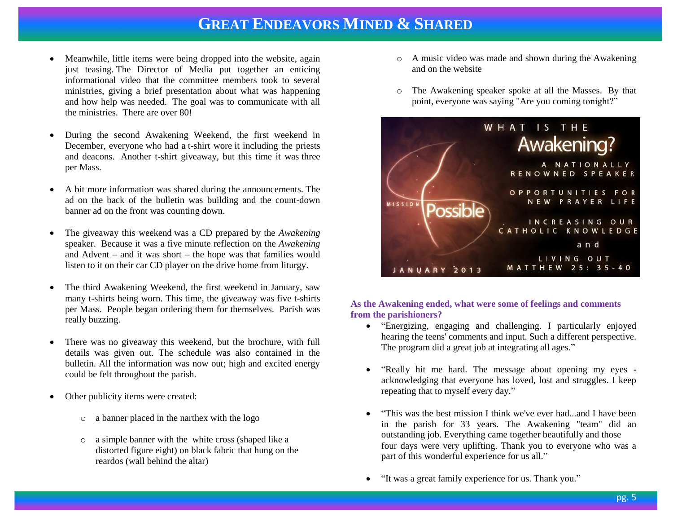- Meanwhile, little items were being dropped into the website, again just teasing. The Director of Media put together an enticing informational video that the committee members took to several ministries, giving a brief presentation about what was happening and how help was needed. The goal was to communicate with all the ministries. There are over 80!
- During the second Awakening Weekend, the first weekend in December, everyone who had a t-shirt wore it including the priests and deacons. Another t-shirt giveaway, but this time it was three per Mass.
- A bit more information was shared during the announcements. The ad on the back of the bulletin was building and the count-down banner ad on the front was counting down.
- The giveaway this weekend was a CD prepared by the *Awakening*  speaker. Because it was a five minute reflection on the *Awakening* and Advent – and it was short – the hope was that families would listen to it on their car CD player on the drive home from liturgy.
- The third Awakening Weekend, the first weekend in January, saw many t-shirts being worn. This time, the giveaway was five t-shirts per Mass. People began ordering them for themselves. Parish was really buzzing.
- There was no giveaway this weekend, but the brochure, with full details was given out. The schedule was also contained in the bulletin. All the information was now out; high and excited energy could be felt throughout the parish.
- Other publicity items were created:
	- o a banner placed in the narthex with the logo
	- o a simple banner with the white cross (shaped like a distorted figure eight) on black fabric that hung on the reardos (wall behind the altar)
- o A music video was made and shown during the Awakening and on the website
- o The Awakening speaker spoke at all the Masses. By that point, everyone was saying "Are you coming tonight?"



### **As the Awakening ended, what were some of feelings and comments from the parishioners?**

- "Energizing, engaging and challenging. I particularly enjoyed hearing the teens' comments and input. Such a different perspective. The program did a great job at integrating all ages."
- "Really hit me hard. The message about opening my eyes acknowledging that everyone has loved, lost and struggles. I keep repeating that to myself every day."
- "This was the best mission I think we've ever had...and I have been in the parish for 33 years. The Awakening "team" did an outstanding job. Everything came together beautifully and those four days were very uplifting. Thank you to everyone who was a part of this wonderful experience for us all."
- "It was a great family experience for us. Thank you."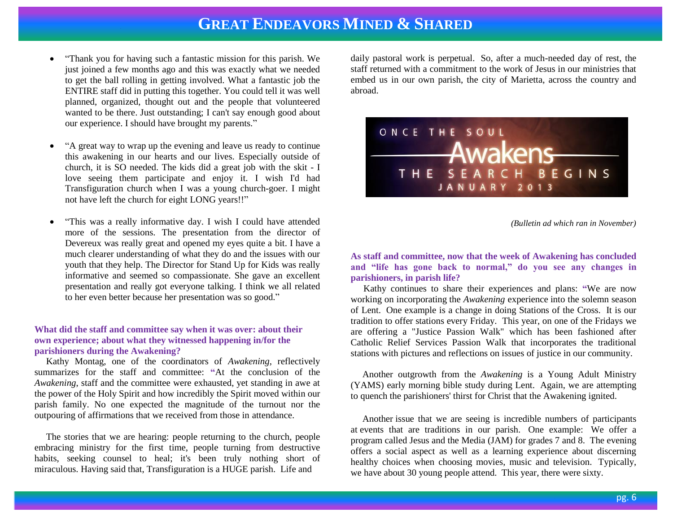- "Thank you for having such a fantastic mission for this parish. We just joined a few months ago and this was exactly what we needed to get the ball rolling in getting involved. What a fantastic job the ENTIRE staff did in putting this together. You could tell it was well planned, organized, thought out and the people that volunteered wanted to be there. Just outstanding; I can't say enough good about our experience. I should have brought my parents."
- "A great way to wrap up the evening and leave us ready to continue this awakening in our hearts and our lives. Especially outside of church, it is SO needed. The kids did a great job with the skit - I love seeing them participate and enjoy it. I wish I'd had Transfiguration church when I was a young church-goer. I might not have left the church for eight LONG years!!"
- "This was a really informative day. I wish I could have attended more of the sessions. The presentation from the director of Devereux was really great and opened my eyes quite a bit. I have a much clearer understanding of what they do and the issues with our youth that they help. The Director for Stand Up for Kids was really informative and seemed so compassionate. She gave an excellent presentation and really got everyone talking. I think we all related to her even better because her presentation was so good."

### **What did the staff and committee say when it was over: about their own experience; about what they witnessed happening in/for the parishioners during the Awakening?**

Kathy Montag, one of the coordinators of *Awakening*, reflectively summarizes for the staff and committee: **"**At the conclusion of the *Awakening*, staff and the committee were exhausted, yet standing in awe at the power of the Holy Spirit and how incredibly the Spirit moved within our parish family. No one expected the magnitude of the turnout nor the outpouring of affirmations that we received from those in attendance.

 The stories that we are hearing: people returning to the church, people embracing ministry for the first time, people turning from destructive habits, seeking counsel to heal; it's been truly nothing short of miraculous. Having said that, Transfiguration is a HUGE parish. Life and

daily pastoral work is perpetual. So, after a much-needed day of rest, the staff returned with a commitment to the work of Jesus in our ministries that embed us in our own parish, the city of Marietta, across the country and abroad.



*(Bulletin ad which ran in November)*

**As staff and committee, now that the week of Awakening has concluded and "life has gone back to normal," do you see any changes in parishioners, in parish life?**

 Kathy continues to share their experiences and plans: **"**We are now working on incorporating the *Awakening* experience into the solemn season of Lent. One example is a change in doing Stations of the Cross. It is our tradition to offer stations every Friday. This year, on one of the Fridays we are offering a "Justice Passion Walk" which has been fashioned after Catholic Relief Services Passion Walk that incorporates the traditional stations with pictures and reflections on issues of justice in our community.

 Another outgrowth from the *Awakening* is a Young Adult Ministry (YAMS) early morning bible study during Lent. Again, we are attempting to quench the parishioners' thirst for Christ that the Awakening ignited.

 Another issue that we are seeing is incredible numbers of participants at events that are traditions in our parish. One example: We offer a program called Jesus and the Media (JAM) for grades 7 and 8. The evening offers a social aspect as well as a learning experience about discerning healthy choices when choosing movies, music and television. Typically, we have about 30 young people attend. This year, there were sixty.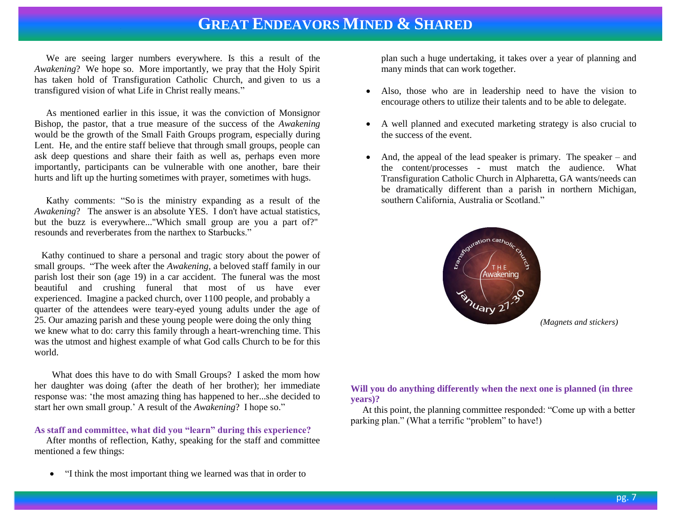We are seeing larger numbers everywhere. Is this a result of the *Awakening*? We hope so. More importantly, we pray that the Holy Spirit has taken hold of Transfiguration Catholic Church, and given to us a transfigured vision of what Life in Christ really means."

 As mentioned earlier in this issue, it was the conviction of Monsignor Bishop, the pastor, that a true measure of the success of the *Awakening* would be the growth of the Small Faith Groups program, especially during Lent. He, and the entire staff believe that through small groups, people can ask deep questions and share their faith as well as, perhaps even more importantly, participants can be vulnerable with one another, bare their hurts and lift up the hurting sometimes with prayer, sometimes with hugs.

 Kathy comments: "So is the ministry expanding as a result of the *Awakening*? The answer is an absolute YES. I don't have actual statistics, but the buzz is everywhere..."Which small group are you a part of?" resounds and reverberates from the narthex to Starbucks."

 Kathy continued to share a personal and tragic story about the power of small groups. "The week after the *Awakening*, a beloved staff family in our parish lost their son (age 19) in a car accident. The funeral was the most beautiful and crushing funeral that most of us have ever experienced. Imagine a packed church, over 1100 people, and probably a quarter of the attendees were teary-eyed young adults under the age of 25. Our amazing parish and these young people were doing the only thing we knew what to do: carry this family through a heart-wrenching time. This was the utmost and highest example of what God calls Church to be for this world.

 What does this have to do with Small Groups? I asked the mom how her daughter was doing (after the death of her brother); her immediate response was: 'the most amazing thing has happened to her...she decided to start her own small group.' A result of the *Awakening*? I hope so."

### **As staff and committee, what did you "learn" during this experience?**

 After months of reflection, Kathy, speaking for the staff and committee mentioned a few things:

"I think the most important thing we learned was that in order to

plan such a huge undertaking, it takes over a year of planning and many minds that can work together.

- Also, those who are in leadership need to have the vision to encourage others to utilize their talents and to be able to delegate.
- A well planned and executed marketing strategy is also crucial to the success of the event.
- And, the appeal of the lead speaker is primary. The speaker and the content/processes - must match the audience. What Transfiguration Catholic Church in Alpharetta, GA wants/needs can be dramatically different than a parish in northern Michigan, southern California, Australia or Scotland."



*(Magnets and stickers)*

### **Will you do anything differently when the next one is planned (in three years)?**

 At this point, the planning committee responded: "Come up with a better parking plan." (What a terrific "problem" to have!)